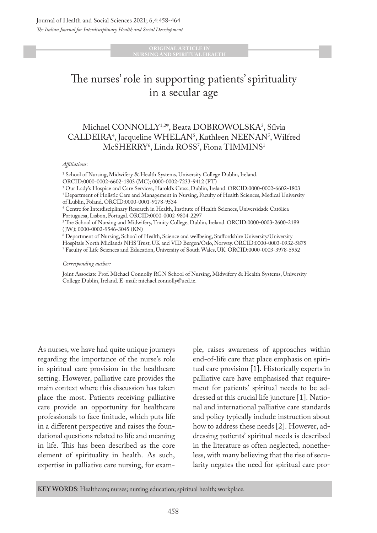**ORIGINAL ARTICLE IN RSING AND SPIRITUAL HEALT** 

# The nurses' role in supporting patients' spirituality in a secular age

# Michael CONNOLLY1,2\*, Beata DOBROWOLSKA3 , Sílvia CALDEIRA<sup>4</sup>, Jacqueline WHELAN<sup>5</sup>, Kathleen NEENAN<sup>5</sup>, Wilfred McSHERRY<sup>6</sup>, Linda ROSS<sup>7</sup>, Fiona TIMMINS<sup>1</sup>

#### *Affiliations*:

<sup>1</sup> School of Nursing, Midwifery & Health Systems, University College Dublin, Ireland. ORCID:0000-0002-6602-1803 (MC); 0000-0002-7233-9412 (FT)

2 Our Lady's Hospice and Care Services, Harold's Cross, Dublin, Ireland. ORCID:0000-0002-6602-1803 <sup>3</sup> Department of Holistic Care and Management in Nursing, Faculty of Health Sciences, Medical University of Lublin, Poland. ORCID:0000-0001-9178-9534

4 Centre for Interdisciplinary Research in Health, Institute of Health Sciences, Universidade Católica Portuguesa, Lisbon, Portugal. ORCID:0000-0002-9804-2297

5 The School of Nursing and Midwifery, Trinity College, Dublin, Ireland. ORCID:0000-0003-2600-2189 (JW); 0000-0002-9546-3045 (KN)

6 Department of Nursing, School of Health, Science and wellbeing, Staffordshire University/University Hospitals North Midlands NHS Trust, UK and VID Bergen/Oslo, Norway. ORCID:0000-0003-0932-5875 7 Faculty of Life Sciences and Education, University of South Wales, UK. ORCID:0000-0003-3978-5952

#### *Corresponding author:*

Joint Associate Prof. Michael Connolly RGN School of Nursing, Midwifery & Health Systems, University College Dublin, Ireland. E-mail: michael.connolly@ucd.ie.

As nurses, we have had quite unique journeys regarding the importance of the nurse's role in spiritual care provision in the healthcare setting. However, palliative care provides the main context where this discussion has taken place the most. Patients receiving palliative care provide an opportunity for healthcare professionals to face finitude, which puts life in a different perspective and raises the foundational questions related to life and meaning in life. This has been described as the core element of spirituality in health. As such, expertise in palliative care nursing, for exam-

ple, raises awareness of approaches within end-of-life care that place emphasis on spiritual care provision [1]. Historically experts in palliative care have emphasised that requirement for patients' spiritual needs to be addressed at this crucial life juncture [1]. National and international palliative care standards and policy typically include instruction about how to address these needs [2]. However, addressing patients' spiritual needs is described in the literature as often neglected, nonetheless, with many believing that the rise of secularity negates the need for spiritual care pro-

**KEY WORDS**: Healthcare; nurses; nursing education; spiritual health; workplace.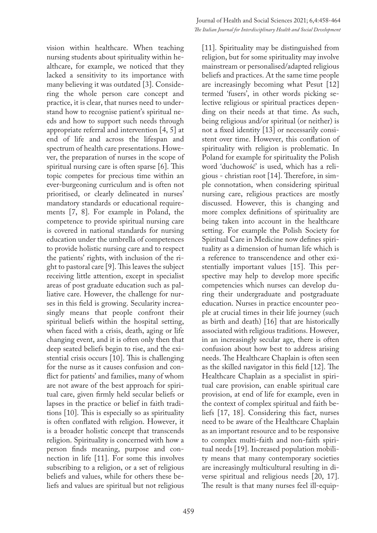vision within healthcare. When teaching nursing students about spirituality within healthcare, for example, we noticed that they lacked a sensitivity to its importance with many believing it was outdated [3]. Considering the whole person care concept and practice, it is clear, that nurses need to understand how to recognise patient's spiritual needs and how to support such needs through appropriate referral and intervention [4, 5] at end of life and across the lifespan and spectrum of health care presentations. However, the preparation of nurses in the scope of spiritual nursing care is often sparse [6]. This topic competes for precious time within an ever-burgeoning curriculum and is often not prioritised, or clearly delineated in nurses' mandatory standards or educational requirements [7, 8]. For example in Poland, the competence to provide spiritual nursing care is covered in national standards for nursing education under the umbrella of competences to provide holistic nursing care and to respect the patients' rights, with inclusion of the right to pastoral care [9]. This leaves the subject receiving little attention, except in specialist areas of post graduate education such as palliative care. However, the challenge for nurses in this field is growing. Secularity increasingly means that people confront their spiritual beliefs within the hospital setting, when faced with a crisis, death, aging or life changing event, and it is often only then that deep seated beliefs begin to rise, and the existential crisis occurs [10]. This is challenging for the nurse as it causes confusion and conflict for patients' and families, many of whom are not aware of the best approach for spiritual care, given firmly held secular beliefs or lapses in the practice or belief in faith traditions [10]. This is especially so as spirituality is often conflated with religion. However, it is a broader holistic concept that transcends religion. Spirituality is concerned with how a person finds meaning, purpose and connection in life [11]. For some this involves subscribing to a religion, or a set of religious beliefs and values, while for others these beliefs and values are spiritual but not religious

[11]. Spirituality may be distinguished from religion, but for some spirituality may involve mainstream or personalised/adapted religious beliefs and practices. At the same time people are increasingly becoming what Pesut [12] termed 'fusers', in other words picking selective religious or spiritual practices depending on their needs at that time. As such, being religious and/or spiritual (or neither) is not a fixed identity [13] or necessarily consistent over time. However, this conflation of spirituality with religion is problematic. In Poland for example for spirituality the Polish word 'duchowość' is used, which has a religious - christian root [14]. Therefore, in simple connotation, when considering spiritual nursing care, religious practices are mostly discussed. However, this is changing and more complex definitions of spirituality are being taken into account in the healthcare setting. For example the Polish Society for Spiritual Care in Medicine now defines spirituality as a dimension of human life which is a reference to transcendence and other existentially important values [15]. This perspective may help to develop more specific competencies which nurses can develop during their undergraduate and postgraduate education. Nurses in practice encounter people at crucial times in their life journey (such as birth and death) [16] that are historically associated with religious traditions. However, in an increasingly secular age, there is often confusion about how best to address arising needs. The Healthcare Chaplain is often seen as the skilled navigator in this field [12]. The Healthcare Chaplain as a specialist in spiritual care provision, can enable spiritual care provision, at end of life for example, even in the context of complex spiritual and faith beliefs [17, 18]. Considering this fact, nurses need to be aware of the Healthcare Chaplain as an important resource and to be responsive to complex multi-faith and non-faith spiritual needs [19]. Increased population mobility means that many contemporary societies are increasingly multicultural resulting in diverse spiritual and religious needs [20, 17]. The result is that many nurses feel ill-equip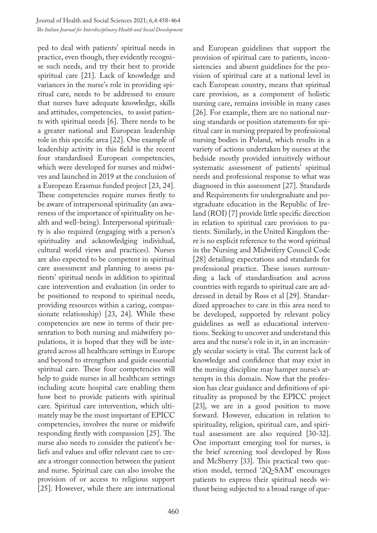ped to deal with patients' spiritual needs in practice, even though, they evidently recognise such needs, and try their best to provide spiritual care [21]. Lack of knowledge and variances in the nurse's role in providing spiritual care, needs to be addressed to ensure that nurses have adequate knowledge, skills and attitudes, competencies, to assist patients with spiritual needs [6]. There needs to be a greater national and European leadership role in this specific area [22]. One example of leadership activity in this field is the recent four standardised European competencies, which were developed for nurses and midwives and launched in 2019 at the conclusion of a European Erasmus funded project [23, 24]. These competencies require nurses firstly to be aware of intrapersonal spirituality (an awareness of the importance of spirituality on health and well-being). Interpersonal spirituality is also required (engaging with a person's spirituality and acknowledging individual, cultural world views and practices). Nurses are also expected to be competent in spiritual care assessment and planning to assess patients' spiritual needs in addition to spiritual care intervention and evaluation (in order to be positioned to respond to spiritual needs, providing resources within a caring, compassionate relationship) [23, 24]. While these competencies are new in terms of their presentation to both nursing and midwifery populations, it is hoped that they will be integrated across all healthcare settings in Europe and beyond to strengthen and guide essential spiritual care. These four competencies will help to guide nurses in all healthcare settings including acute hospital care enabling them how best to provide patients with spiritual care. Spiritual care intervention, which ultimately may be the most important of EPICC competencies, involves the nurse or midwife responding firstly with compassion [25]. The nurse also needs to consider the patient's beliefs and values and offer relevant care to create a stronger connection between the patient and nurse. Spiritual care can also involve the provision of or access to religious support [25]. However, while there are international

and European guidelines that support the provision of spiritual care to patients, inconsistencies and absent guidelines for the provision of spiritual care at a national level in each European country, means that spiritual care provision, as a component of holistic nursing care, remains invisible in many cases [26]. For example, there are no national nursing standards or position statements for spiritual care in nursing prepared by professional nursing bodies in Poland, which results in a variety of actions undertaken by nurses at the bedside mostly provided intuitively without systematic assessment of patients' spiritual needs and professional response to what was diagnosed in this assessment [27]. Standards and Requirements for undergraduate and postgraduate education in the Republic of Ireland (ROI) [7] provide little specific direction in relation to spiritual care provision to patients. Similarly, in the United Kingdom there is no explicit reference to the word spiritual in the Nursing and Midwifery Council Code [28] detailing expectations and standards for professional practice. These issues surrounding a lack of standardisation and across countries with regards to spiritual care are addressed in detail by Ross et al [29]. Standardized approaches to care in this area need to be developed, supported by relevant policy guidelines as well as educational interventions. Seeking to uncover and understand this area and the nurse's role in it, in an increasingly secular society is vital. The current lack of knowledge and confidence that may exist in the nursing discipline may hamper nurse's attempts in this domain. Now that the profession has clear guidance and definitions of spirituality as proposed by the EPICC project [23], we are in a good position to move forward. However, education in relation to spirituality, religion, spiritual care, and spiritual assessment are also required [30-32]. One important emerging tool for nurses, is the brief screening tool developed by Ross and McSherry [33]. This practical two question model, termed '2Q-SAM' encourages patients to express their spiritual needs without being subjected to a broad range of que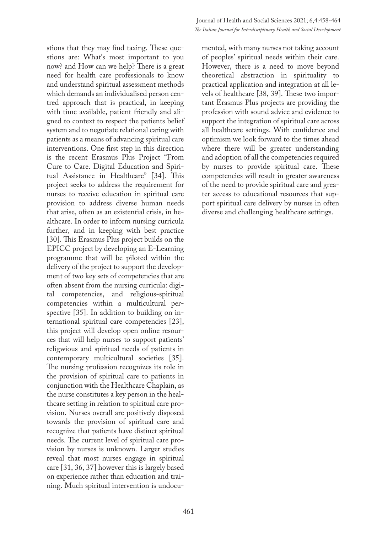stions that they may find taxing. These questions are: What's most important to you now? and How can we help? There is a great need for health care professionals to know and understand spiritual assessment methods which demands an individualised person centred approach that is practical, in keeping with time available, patient friendly and aligned to context to respect the patients belief system and to negotiate relational caring with patients as a means of advancing spiritual care interventions. One first step in this direction is the recent Erasmus Plus Project "From Cure to Care. Digital Education and Spiritual Assistance in Healthcare" [34]. This project seeks to address the requirement for nurses to receive education in spiritual care provision to address diverse human needs that arise, often as an existential crisis, in healthcare. In order to inform nursing curricula further, and in keeping with best practice [30]. This Erasmus Plus project builds on the EPICC project by developing an E-Learning programme that will be piloted within the delivery of the project to support the development of two key sets of competencies that are often absent from the nursing curricula: digital competencies, and religious-spiritual competencies within a multicultural perspective [35]. In addition to building on international spiritual care competencies [23], this project will develop open online resources that will help nurses to support patients' religwious and spiritual needs of patients in contemporary multicultural societies [35]. The nursing profession recognizes its role in the provision of spiritual care to patients in conjunction with the Healthcare Chaplain, as the nurse constitutes a key person in the healthcare setting in relation to spiritual care provision. Nurses overall are positively disposed towards the provision of spiritual care and recognize that patients have distinct spiritual needs. The current level of spiritual care provision by nurses is unknown. Larger studies reveal that most nurses engage in spiritual care [31, 36, 37] however this is largely based on experience rather than education and training. Much spiritual intervention is undocumented, with many nurses not taking account of peoples' spiritual needs within their care. However, there is a need to move beyond theoretical abstraction in spirituality to practical application and integration at all levels of healthcare [38, 39]. These two important Erasmus Plus projects are providing the profession with sound advice and evidence to support the integration of spiritual care across all healthcare settings. With confidence and optimism we look forward to the times ahead where there will be greater understanding and adoption of all the competencies required by nurses to provide spiritual care. These competencies will result in greater awareness of the need to provide spiritual care and greater access to educational resources that support spiritual care delivery by nurses in often diverse and challenging healthcare settings.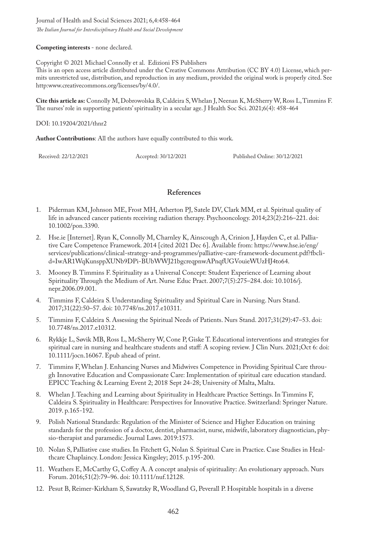Journal of Health and Social Sciences 2021; 6,4:458-464

*The Italian Journal for Interdisciplinary Health and Social Development*

**Competing interests** - none declared.

Copyright © 2021 Michael Connolly et al. Edizioni FS Publishers

This is an open access article distributed under the Creative Commons Attribution (CC BY 4.0) License, which permits unrestricted use, distribution, and reproduction in any medium, provided the original work is properly cited. See http:www.creativecommons.org/licenses/by/4.0/.

**Cite this article as:** Connolly M, Dobrowolska B, Caldeira S, Whelan J, Neenan K, McSherry W, Ross L, Timmins F. The nurses' role in supporting patients' spirituality in a secular age. J Health Soc Sci. 2021;6(4): 458-464

### DOI: 10.19204/2021/thnr2

**Author Contributions**: All the authors have equally contributed to this work.

Received: 22/12/2021 Accepted: 30/12/2021 Published Online: 30/12/2021

## **References**

- 1. Piderman KM, Johnson ME, Frost MH, Atherton PJ, Satele DV, Clark MM, et al. Spiritual quality of life in advanced cancer patients receiving radiation therapy. Psychooncology. 2014;23(2):216–221. doi: 10.1002/pon.3390.
- 2. Hse.ie [Internet]. Ryan K, Connolly M, Charnley K, Ainscough A, Crinion J, Hayden C, et al. Palliative Care Competence Framework. 2014 [cited 2021 Dec 6]. Available from: https://www.hse.ie/eng/ services/publications/clinical-strategy-and-programmes/palliative-care-framework-document.pdf?fbclid=IwAR1WqKunsppXUNb9DPi-BUbWWJ21bgcreqpnwAPnqfUGVouieWUzHJ4to64.
- 3. Mooney B. Timmins F. Spirituality as a Universal Concept: Student Experience of Learning about Spirituality Through the Medium of Art. Nurse Educ Pract. 2007;7(5):275–284. doi: 10.1016/j. nepr.2006.09.001.
- 4. Timmins F, Caldeira S. Understanding Spirituality and Spiritual Care in Nursing. Nurs Stand. 2017;31(22):50–57. doi: 10.7748/ns.2017.e10311.
- 5. Timmins F, Caldeira S. Assessing the Spiritual Needs of Patients. Nurs Stand. 2017;31(29):47–53. doi: 10.7748/ns.2017.e10312.
- 6. Rykkje L, Søvik MB, Ross L, McSherry W, Cone P, Giske T. Educational interventions and strategies for spiritual care in nursing and healthcare students and staff: A scoping review. J Clin Nurs. 2021;Oct 6: doi: 10.1111/jocn.16067. Epub ahead of print.
- 7. Timmins F, Whelan J. Enhancing Nurses and Midwives Competence in Providing Spiritual Care through Innovative Education and Compassionate Care: Implementation of spiritual care education standard. EPICC Teaching & Learning Event 2; 2018 Sept 24-28; University of Malta, Malta.
- 8. Whelan J. Teaching and Learning about Spirituality in Healthcare Practice Settings. In Timmins F, Caldeira S. Spirituality in Healthcare: Perspectives for Innovative Practice. Switzerland: Springer Nature. 2019. p.165-192.
- 9. Polish National Standards: Regulation of the Minister of Science and Higher Education on training standards for the profession of a doctor, dentist, pharmacist, nurse, midwife, laboratory diagnostician, physio-therapist and paramedic. Journal Laws. 2019:1573.
- 10. Nolan S, Palliative case studies. In Fitchett G, Nolan S. Spiritual Care in Practice. Case Studies in Healthcare Chaplaincy. London: Jessica Kingsley; 2015. p.195-200.
- 11. Weathers E, McCarthy G, Coffey A. A concept analysis of spirituality: An evolutionary approach. Nurs Forum. 2016;51(2):79–96. doi: 10.1111/nuf.12128.
- 12. Pesut B, Reimer-Kirkham S, Sawatzky R, Woodland G, Peverall P. Hospitable hospitals in a diverse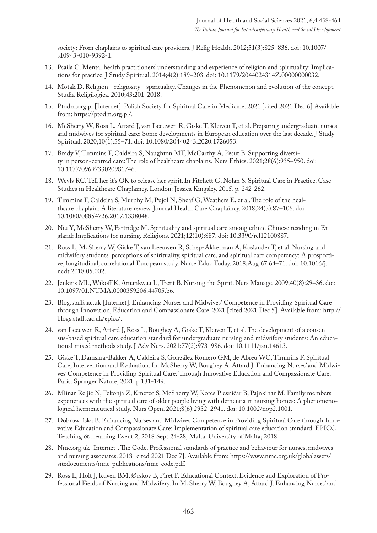society: From chaplains to spiritual care providers. J Relig Health. 2012;51(3):825–836. doi: 10.1007/ s10943-010-9392-1.

- 13. Psaila C. Mental health practitioners' understanding and experience of religion and spirituality: Implications for practice. J Study Spiritual. 2014;4(2):189–203. doi: 10.1179/2044024314Z.00000000032.
- 14. Motak D. Religion religiosity spirituality. Changes in the Phenomenon and evolution of the concept. Studia Religilogica. 2010;43:201-2018.
- 15. Ptodm.org.pl [Internet]. Polish Society for Spiritual Care in Medicine. 2021 [cited 2021 Dec 6] Available from: https://ptodm.org.pl/.
- 16. McSherry W, Ross L, Attard J, van Leeuwen R, Giske T, Kleiven T, et al. Preparing undergraduate nurses and midwives for spiritual care: Some developments in European education over the last decade. J Study Spiritual. 2020;10(1):55–71. doi: 10.1080/20440243.2020.1726053.
- 17. Brady V, Timmins F, Caldeira S, Naughton MT, McCarthy A, Pesut B. Supporting diversity in person-centred care: The role of healthcare chaplains. Nurs Ethics. 2021;28(6):935–950. doi: 10.1177/0969733020981746.
- 18. Weyls RC. Tell her it's OK to release her spirit. In Fitchett G, Nolan S. Spiritual Care in Practice. Case Studies in Healthcare Chaplaincy. London: Jessica Kingsley. 2015. p. 242-262.
- 19. Timmins F, Caldeira S, Murphy M, Pujol N, Sheaf G, Weathers E, et al. The role of the healthcare chaplain: A literature review. Journal Health Care Chaplaincy. 2018;24(3):87–106. doi: 10.1080/08854726.2017.1338048.
- 20. Niu Y, McSherry W, Partridge M. Spirituality and spiritual care among ethnic Chinese residing in England: Implications for nursing. Religions. 2021;12(10):887. doi: 10.3390/rel12100887.
- 21. Ross L, McSherry W, Giske T, van Leeuwen R, Schep-Akkerman A, Koslander T, et al. Nursing and midwifery students' perceptions of spirituality, spiritual care, and spiritual care competency: A prospective, longitudinal, correlational European study. Nurse Educ Today. 2018;Aug 67:64–71. doi: 10.1016/j. nedt.2018.05.002.
- 22. Jenkins ML, Wikoff K, Amankwaa L, Trent B. Nursing the Spirit. Nurs Manage. 2009;40(8):29–36. doi: 10.1097/01.NUMA.0000359206.44705.b6.
- 23. Blog.staffs.ac.uk [Internet]. Enhancing Nurses and Midwives' Competence in Providing Spiritual Care through Innovation, Education and Compassionate Care. 2021 [cited 2021 Dec 5]. Available from: http:// blogs.staffs.ac.uk/epicc/.
- 24. van Leeuwen R, Attard J, Ross L, Boughey A, Giske T, Kleiven T, et al. The development of a consensus-based spiritual care education standard for undergraduate nursing and midwifery students: An educational mixed methods study. J Adv Nurs. 2021;77(2):973–986. doi: 10.1111/jan.14613.
- 25. Giske T, Damsma-Bakker A, Caldeira S, González Romero GM, de Abreu WC, Timmins F. Spiritual Care, Intervention and Evaluation. In: McSherry W, Boughey A. Attard J. Enhancing Nurses' and Midwives' Competence in Providing Spiritual Care: Through Innovative Education and Compassionate Care. Paris: Springer Nature, 2021. p.131-149.
- 26. Mlinar Reljić N, Fekonja Z, Kmetec S, McSherry W, Kores Plesničar B, Pajnkihar M. Family members' experiences with the spiritual care of older people living with dementia in nursing homes: A phenomenological hermeneutical study. Nurs Open. 2021;8(6):2932–2941. doi: 10.1002/nop2.1001.
- 27. Dobrowolska B. Enhancing Nurses and Midwives Competence in Providing Spiritual Care through Innovative Education and Compassionate Care: Implementation of spiritual care education standard. EPICC Teaching & Learning Event 2; 2018 Sept 24-28; Malta: University of Malta; 2018.
- 28. Nmc.org.uk [Internet]. The Code. Professional standards of practice and behaviour for nurses, midwives and nursing associates. 2018 [cited 2021 Dec 7]. Available from: https://www.nmc.org.uk/globalassets/ sitedocuments/nmc-publications/nmc-code.pdf.
- 29. Ross L, Holt J, Kuven BM, Ørskov B, Piret P. Educational Context, Evidence and Exploration of Professional Fields of Nursing and Midwifery. In McSherry W, Boughey A, Attard J. Enhancing Nurses' and